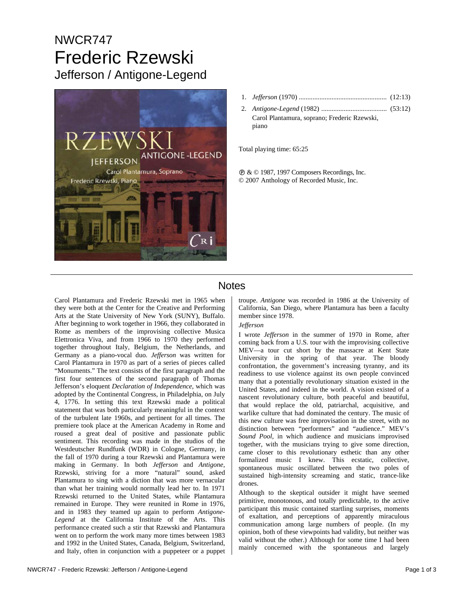# NWCR747 Frederic Rzewski Jefferson / Antigone-Legend



2. *Antigone-Legend* (1982) ...................................... (53:12) Carol Plantamura, soprano; Frederic Rzewski, piano

Total playing time: 65:25

 $\mathcal{D} \&$  © 1987, 1997 Composers Recordings, Inc. © 2007 Anthology of Recorded Music, Inc.

## **Notes**

Carol Plantamura and Frederic Rzewski met in 1965 when they were both at the Center for the Creative and Performing Arts at the State University of New York (SUNY), Buffalo. After beginning to work together in 1966, they collaborated in Rome as members of the improvising collective Musica Elettronica Viva, and from 1966 to 1970 they performed together throughout Italy, Belgium, the Netherlands, and Germany as a piano-vocal duo. *Jefferson* was written for Carol Plantamura in 1970 as part of a series of pieces called "Monuments." The text consists of the first paragraph and the first four sentences of the second paragraph of Thomas Jefferson's eloquent *Declaration of Independence*, which was adopted by the Continental Congress, in Philadelphia, on July 4, 1776. In setting this text Rzewski made a political statement that was both particularly meaningful in the context of the turbulent late 1960s, and pertinent for all times. The premiere took place at the American Academy in Rome and roused a great deal of positive and passionate public sentiment. This recording was made in the studios of the Westdeutscher Rundfunk (WDR) in Cologne, Germany, in the fall of 1970 during a tour Rzewski and Plantamura were making in Germany. In both *Jefferson* and *Antigone*, Rzewski, striving for a more "natural" sound, asked Plantamura to sing with a diction that was more vernacular than what her training would normally lead her to. In 1971 Rzewski returned to the United States, while Plantamura remained in Europe. They were reunited in Rome in 1976, and in 1983 they teamed up again to perform *Antigone-Legend* at the California Institute of the Arts. This performance created such a stir that Rzewski and Plantamura went on to perform the work many more times between 1983 and 1992 in the United States, Canada, Belgium, Switzerland, and Italy, often in conjunction with a puppeteer or a puppet troupe. *Antigone* was recorded in 1986 at the University of California, San Diego, where Plantamura has been a faculty member since 1978.

### *Jefferson*

I wrote *Jefferson* in the summer of 1970 in Rome, after coming back from a U.S. tour with the improvising collective MEV—a tour cut short by the massacre at Kent State University in the spring of that year. The bloody confrontation, the government's increasing tyranny, and its readiness to use violence against its own people convinced many that a potentially revolutionary situation existed in the United States, and indeed in the world. A vision existed of a nascent revolutionary culture, both peaceful and beautiful, that would replace the old, patriarchal, acquisitive, and warlike culture that had dominated the century. The music of this new culture was free improvisation in the street, with no distinction between "performers" and "audience." MEV's *Sound Pool*, in which audience and musicians improvised together, with the musicians trying to give some direction, came closer to this revolutionary esthetic than any other formalized music I knew. This ecstatic, collective, spontaneous music oscillated between the two poles of sustained high-intensity screaming and static, trance-like drones.

Although to the skeptical outsider it might have seemed primitive, monotonous, and totally predictable, to the active participant this music contained startling surprises, moments of exaltation, and perceptions of apparently miraculous communication among large numbers of people. (In my opinion, both of these viewpoints had validity, but neither was valid without the other.) Although for some time I had been mainly concerned with the spontaneous and largely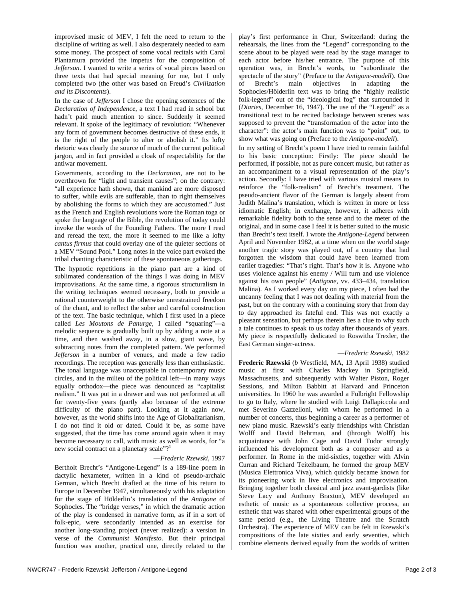improvised music of MEV, I felt the need to return to the discipline of writing as well. I also desperately needed to earn some money. The prospect of some vocal recitals with Carol Plantamura provided the impetus for the composition of *Jefferson*. I wanted to write a series of vocal pieces based on three texts that had special meaning for me, but I only completed two (the other was based on Freud's *Civilization and its Discontents*).

In the case of *Jefferson* I chose the opening sentences of the *Declaration of Independence*, a text I had read in school but hadn't paid much attention to since. Suddenly it seemed relevant. It spoke of the legitimacy of revolution: "Whenever any form of government becomes destructive of these ends, it is the right of the people to alter or abolish it." Its lofty rhetoric was clearly the source of much of the current political jargon, and in fact provided a cloak of respectability for the antiwar movement.

Governments, according to the *Declaration*, are not to be overthrown for "light and transient causes"; on the contrary: "all experience hath shown, that mankind are more disposed to suffer, while evils are sufferable, than to right themselves by abolishing the forms to which they are accustomed." Just as the French and English revolutions wore the Roman toga or spoke the language of the Bible, the revolution of today could invoke the words of the Founding Fathers. The more I read and reread the text, the more it seemed to me like a lofty *cantus firmus* that could overlay one of the quieter sections of a MEV "Sound Pool." Long notes in the voice part evoked the tribal chanting characteristic of these spontaneous gatherings.

The hypnotic repetitions in the piano part are a kind of sublimated condensation of the things I was doing in MEV improvisations. At the same time, a rigorous structuralism in the writing techniques seemed necessary, both to provide a rational counterweight to the otherwise unrestrained freedom of the chant, and to reflect the sober and careful construction of the text. The basic technique, which I first used in a piece called *Les Moutons de Panurge*, I called "squaring"—a melodic sequence is gradually built up by adding a note at a time, and then washed away, in a slow, giant wave, by subtracting notes from the completed pattern. We performed *Jefferson* in a number of venues, and made a few radio recordings. The reception was generally less than enthusiastic. The tonal language was unacceptable in contemporary music circles, and in the milieu of the political left—in many ways equally orthodox—the piece was denounced as "capitalist realism." It was put in a drawer and was not performed at all for twenty-five years (partly also because of the extreme difficulty of the piano part). Looking at it again now, however, as the world shifts into the Age of Globalitarianism, I do not find it old or dated. Could it be, as some have suggested, that the time has come around again when it may become necessary to call, with music as well as words, for "a new social contract on a planetary scale"?<sup>[1](#page-2-0)</sup>

#### —*Frederic Rzewski*, 1997

Bertholt Brecht's "Antigone-Legend" is a 189-line poem in dactylic hexameter, written in a kind of pseudo-archaic German, which Brecht drafted at the time of his return to Europe in December 1947, simultaneously with his adaptation for the stage of Hölderlin's translation of the *Antigone* of Sophocles. The "bridge verses," in which the dramatic action of the play is condensed in narrative form, as if in a sort of folk-epic, were secondarily intended as an exercise for another long-standing project (never realized): a version in verse of the *Communist Manifesto*. But their principal function was another, practical one, directly related to the play's first performance in Chur, Switzerland: during the rehearsals, the lines from the "Legend" corresponding to the scene about to be played were read by the stage manager to each actor before his/her entrance. The purpose of this operation was, in Brecht's words, to "subordinate the spectacle of the story" (Preface to the *Antigone-modell*). One of Brecht's main objectives in adapting the Sophocles/Hölderlin text was to bring the "highly realistic folk-legend" out of the "ideological fog" that surrounded it (*Diaries*, December 16, 1947). The use of the "Legend" as a transitional text to be recited backstage between scenes was supposed to prevent the "transformation of the actor into the character": the actor's main function was to "point" out, to show what was going on (Preface to the *Antigone-modell*).

In my setting of Brecht's poem I have tried to remain faithful to his basic conception: Firstly: The piece should be performed, if possible, not as pure concert music, but rather as an accompaniment to a visual representation of the play's action. Secondly: I have tried with various musical means to reinforce the "folk-realism" of Brecht's treatment. The pseudo-ancient flavor of the German is largely absent from Judith Malina's translation, which is written in more or less idiomatic English; in exchange, however, it adheres with remarkable fidelity both to the sense and to the meter of the original, and in some case I feel it is better suited to the music than Brecht's text itself. I wrote the *Antigone-Legend* between April and November 1982, at a time when on the world stage another tragic story was played out, of a country that had forgotten the wisdom that could have been learned from earlier tragedies: "That's right. That's how it is. Anyone who uses violence against his enemy / Will turn and use violence against his own people" (*Antigone*, vv. 433–434, translation Malina). As I worked every day on my piece, I often had the uncanny feeling that I was not dealing with material from the past, but on the contrary with a continuing story that from day to day approached its fateful end. This was not exactly a pleasant sensation, but perhaps therein lies a clue to why such a tale continues to speak to us today after thousands of years. My piece is respectfully dedicated to Roswitha Trexler, the East German singer-actress.

—*Frederic Rzewski*, 1982

**Frederic Rzewski** (*b* Westfield, MA, 13 April 1938) studied music at first with Charles Mackey in Springfield, Massachusetts, and subsequently with Walter Piston, Roger Sessions, and Milton Babbitt at Harvard and Princeton universities. In 1960 he was awarded a Fulbright Fellowship to go to Italy, where he studied with Luigi Dallapiccola and met Severino Gazzelloni, with whom he performed in a number of concerts, thus beginning a career as a performer of new piano music. Rzewski's early friendships with Christian Wolff and David Behrman, and (through Wolff) his acquaintance with John Cage and David Tudor strongly influenced his development both as a composer and as a performer. In Rome in the mid-sixties, together with Alvin Curran and Richard Teitelbaum, he formed the group MEV (Musica Elettronica Viva), which quickly became known for its pioneering work in live electronics and improvisation. Bringing together both classical and jazz avant-gardists (like Steve Lacy and Anthony Braxton), MEV developed an esthetic of music as a spontaneous collective process, an esthetic that was shared with other experimental groups of the same period (e.g., the Living Theatre and the Scratch Orchestra). The experience of MEV can be felt in Rzewski's compositions of the late sixties and early seventies, which combine elements derived equally from the worlds of written